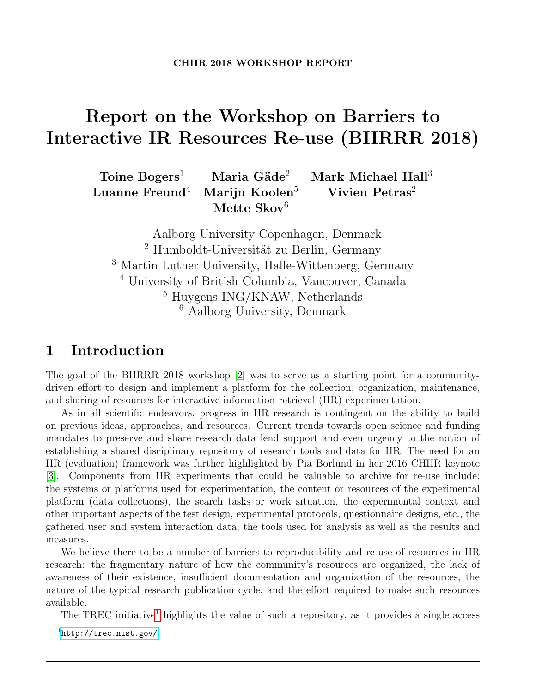# Report on the Workshop on Barriers to Interactive IR Resources Re-use (BIIRRR 2018)

 $Toine Bogers<sup>1</sup>$  Maria Gäde<sup>2</sup> Mark Michael Hall<sup>3</sup> Luanne Freund<sup>4</sup> Marijn Koolen<sup>5</sup> Vivien Petras<sup>2</sup> Mette  $Skov^6$ 

 Aalborg University Copenhagen, Denmark Humboldt-Universität zu Berlin, Germany Martin Luther University, Halle-Wittenberg, Germany University of British Columbia, Vancouver, Canada Huygens ING/KNAW, Netherlands Aalborg University, Denmark

## 1 Introduction

The goal of the BIIRRR 2018 workshop [\[2\]](#page-8-0) was to serve as a starting point for a communitydriven effort to design and implement a platform for the collection, organization, maintenance, and sharing of resources for interactive information retrieval (IIR) experimentation.

As in all scientific endeavors, progress in IIR research is contingent on the ability to build on previous ideas, approaches, and resources. Current trends towards open science and funding mandates to preserve and share research data lend support and even urgency to the notion of establishing a shared disciplinary repository of research tools and data for IIR. The need for an IIR (evaluation) framework was further highlighted by Pia Borlund in her 2016 CHIIR keynote [\[3\]](#page-8-1). Components from IIR experiments that could be valuable to archive for re-use include: the systems or platforms used for experimentation, the content or resources of the experimental platform (data collections), the search tasks or work situation, the experimental context and other important aspects of the test design, experimental protocols, questionnaire designs, etc., the gathered user and system interaction data, the tools used for analysis as well as the results and measures.

We believe there to be a number of barriers to reproducibility and re-use of resources in IIR research: the fragmentary nature of how the community's resources are organized, the lack of awareness of their existence, insufficient documentation and organization of the resources, the nature of the typical research publication cycle, and the effort required to make such resources available.

The TREC initiative<sup>[1](#page-0-0)</sup> highlights the value of such a repository, as it provides a single access

<span id="page-0-0"></span><sup>1</sup><http://trec.nist.gov/>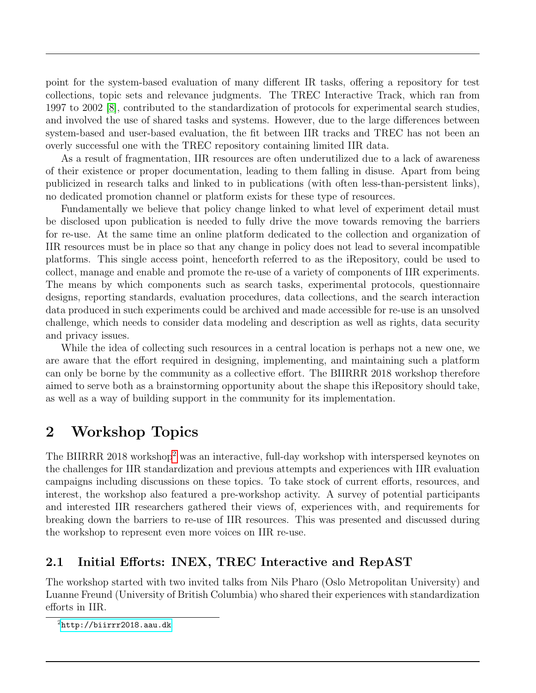point for the system-based evaluation of many different IR tasks, offering a repository for test collections, topic sets and relevance judgments. The TREC Interactive Track, which ran from 1997 to 2002 [\[8\]](#page-9-0), contributed to the standardization of protocols for experimental search studies, and involved the use of shared tasks and systems. However, due to the large differences between system-based and user-based evaluation, the fit between IIR tracks and TREC has not been an overly successful one with the TREC repository containing limited IIR data.

As a result of fragmentation, IIR resources are often underutilized due to a lack of awareness of their existence or proper documentation, leading to them falling in disuse. Apart from being publicized in research talks and linked to in publications (with often less-than-persistent links), no dedicated promotion channel or platform exists for these type of resources.

Fundamentally we believe that policy change linked to what level of experiment detail must be disclosed upon publication is needed to fully drive the move towards removing the barriers for re-use. At the same time an online platform dedicated to the collection and organization of IIR resources must be in place so that any change in policy does not lead to several incompatible platforms. This single access point, henceforth referred to as the iRepository, could be used to collect, manage and enable and promote the re-use of a variety of components of IIR experiments. The means by which components such as search tasks, experimental protocols, questionnaire designs, reporting standards, evaluation procedures, data collections, and the search interaction data produced in such experiments could be archived and made accessible for re-use is an unsolved challenge, which needs to consider data modeling and description as well as rights, data security and privacy issues.

While the idea of collecting such resources in a central location is perhaps not a new one, we are aware that the effort required in designing, implementing, and maintaining such a platform can only be borne by the community as a collective effort. The BIIRRR 2018 workshop therefore aimed to serve both as a brainstorming opportunity about the shape this iRepository should take, as well as a way of building support in the community for its implementation.

## 2 Workshop Topics

The BIIRRR [2](#page-1-0)018 workshop<sup>2</sup> was an interactive, full-day workshop with interspersed keynotes on the challenges for IIR standardization and previous attempts and experiences with IIR evaluation campaigns including discussions on these topics. To take stock of current efforts, resources, and interest, the workshop also featured a pre-workshop activity. A survey of potential participants and interested IIR researchers gathered their views of, experiences with, and requirements for breaking down the barriers to re-use of IIR resources. This was presented and discussed during the workshop to represent even more voices on IIR re-use.

### 2.1 Initial Efforts: INEX, TREC Interactive and RepAST

The workshop started with two invited talks from Nils Pharo (Oslo Metropolitan University) and Luanne Freund (University of British Columbia) who shared their experiences with standardization efforts in IIR.

<span id="page-1-0"></span> $^{2}$ <http://biirrr2018.aau.dk>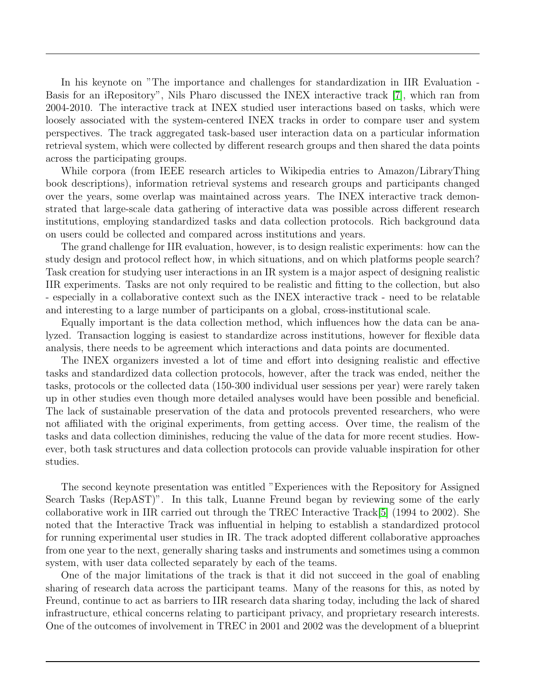In his keynote on "The importance and challenges for standardization in IIR Evaluation - Basis for an iRepository", Nils Pharo discussed the INEX interactive track [\[7\]](#page-9-1), which ran from 2004-2010. The interactive track at INEX studied user interactions based on tasks, which were loosely associated with the system-centered INEX tracks in order to compare user and system perspectives. The track aggregated task-based user interaction data on a particular information retrieval system, which were collected by different research groups and then shared the data points across the participating groups.

While corpora (from IEEE research articles to Wikipedia entries to Amazon/LibraryThing book descriptions), information retrieval systems and research groups and participants changed over the years, some overlap was maintained across years. The INEX interactive track demonstrated that large-scale data gathering of interactive data was possible across different research institutions, employing standardized tasks and data collection protocols. Rich background data on users could be collected and compared across institutions and years.

The grand challenge for IIR evaluation, however, is to design realistic experiments: how can the study design and protocol reflect how, in which situations, and on which platforms people search? Task creation for studying user interactions in an IR system is a major aspect of designing realistic IIR experiments. Tasks are not only required to be realistic and fitting to the collection, but also - especially in a collaborative context such as the INEX interactive track - need to be relatable and interesting to a large number of participants on a global, cross-institutional scale.

Equally important is the data collection method, which influences how the data can be analyzed. Transaction logging is easiest to standardize across institutions, however for flexible data analysis, there needs to be agreement which interactions and data points are documented.

The INEX organizers invested a lot of time and effort into designing realistic and effective tasks and standardized data collection protocols, however, after the track was ended, neither the tasks, protocols or the collected data (150-300 individual user sessions per year) were rarely taken up in other studies even though more detailed analyses would have been possible and beneficial. The lack of sustainable preservation of the data and protocols prevented researchers, who were not affiliated with the original experiments, from getting access. Over time, the realism of the tasks and data collection diminishes, reducing the value of the data for more recent studies. However, both task structures and data collection protocols can provide valuable inspiration for other studies.

The second keynote presentation was entitled "Experiences with the Repository for Assigned Search Tasks (RepAST)". In this talk, Luanne Freund began by reviewing some of the early collaborative work in IIR carried out through the TREC Interactive Track[\[5\]](#page-8-2) (1994 to 2002). She noted that the Interactive Track was influential in helping to establish a standardized protocol for running experimental user studies in IR. The track adopted different collaborative approaches from one year to the next, generally sharing tasks and instruments and sometimes using a common system, with user data collected separately by each of the teams.

One of the major limitations of the track is that it did not succeed in the goal of enabling sharing of research data across the participant teams. Many of the reasons for this, as noted by Freund, continue to act as barriers to IIR research data sharing today, including the lack of shared infrastructure, ethical concerns relating to participant privacy, and proprietary research interests. One of the outcomes of involvement in TREC in 2001 and 2002 was the development of a blueprint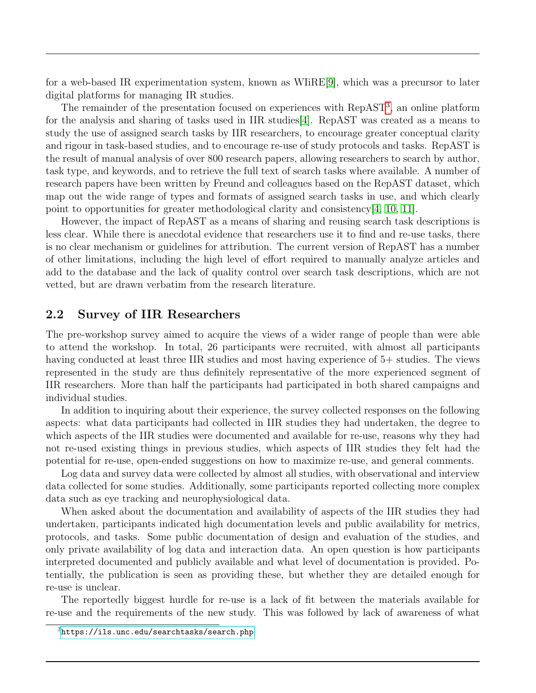for a web-based IR experimentation system, known as WIiRE[\[9\]](#page-9-2), which was a precursor to later digital platforms for managing IR studies.

The remainder of the presentation focused on experiences with RepAST<sup>[3](#page-3-0)</sup>, an online platform for the analysis and sharing of tasks used in IIR studies[\[4\]](#page-8-3). RepAST was created as a means to study the use of assigned search tasks by IIR researchers, to encourage greater conceptual clarity and rigour in task-based studies, and to encourage re-use of study protocols and tasks. RepAST is the result of manual analysis of over 800 research papers, allowing researchers to search by author, task type, and keywords, and to retrieve the full text of search tasks where available. A number of research papers have been written by Freund and colleagues based on the RepAST dataset, which map out the wide range of types and formats of assigned search tasks in use, and which clearly point to opportunities for greater methodological clarity and consistency[\[4,](#page-8-3) [10,](#page-9-3) [11\]](#page-9-4).

However, the impact of RepAST as a means of sharing and reusing search task descriptions is less clear. While there is anecdotal evidence that researchers use it to find and re-use tasks, there is no clear mechanism or guidelines for attribution. The current version of RepAST has a number of other limitations, including the high level of effort required to manually analyze articles and add to the database and the lack of quality control over search task descriptions, which are not vetted, but are drawn verbatim from the research literature.

#### 2.2 Survey of IIR Researchers

The pre-workshop survey aimed to acquire the views of a wider range of people than were able to attend the workshop. In total, 26 participants were recruited, with almost all participants having conducted at least three IIR studies and most having experience of 5+ studies. The views represented in the study are thus definitely representative of the more experienced segment of IIR researchers. More than half the participants had participated in both shared campaigns and individual studies.

In addition to inquiring about their experience, the survey collected responses on the following aspects: what data participants had collected in IIR studies they had undertaken, the degree to which aspects of the IIR studies were documented and available for re-use, reasons why they had not re-used existing things in previous studies, which aspects of IIR studies they felt had the potential for re-use, open-ended suggestions on how to maximize re-use, and general comments.

Log data and survey data were collected by almost all studies, with observational and interview data collected for some studies. Additionally, some participants reported collecting more complex data such as eye tracking and neurophysiological data.

When asked about the documentation and availability of aspects of the IIR studies they had undertaken, participants indicated high documentation levels and public availability for metrics, protocols, and tasks. Some public documentation of design and evaluation of the studies, and only private availability of log data and interaction data. An open question is how participants interpreted documented and publicly available and what level of documentation is provided. Potentially, the publication is seen as providing these, but whether they are detailed enough for re-use is unclear.

The reportedly biggest hurdle for re-use is a lack of fit between the materials available for re-use and the requirements of the new study. This was followed by lack of awareness of what

<span id="page-3-0"></span><sup>3</sup><https://ils.unc.edu/searchtasks/search.php>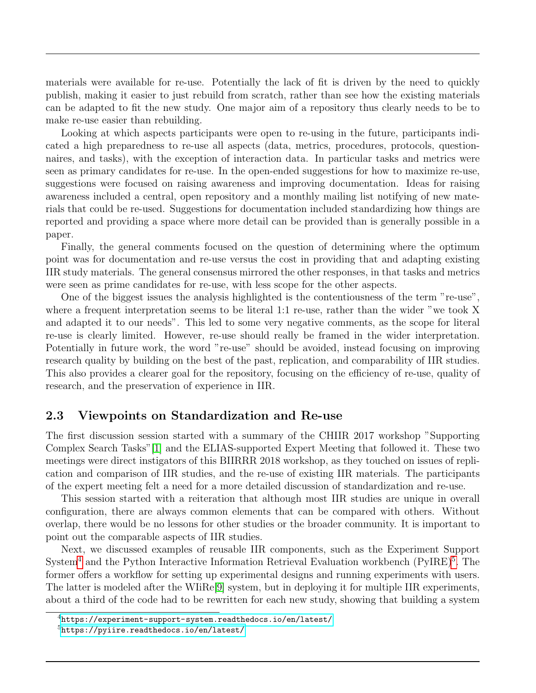materials were available for re-use. Potentially the lack of fit is driven by the need to quickly publish, making it easier to just rebuild from scratch, rather than see how the existing materials can be adapted to fit the new study. One major aim of a repository thus clearly needs to be to make re-use easier than rebuilding.

Looking at which aspects participants were open to re-using in the future, participants indicated a high preparedness to re-use all aspects (data, metrics, procedures, protocols, questionnaires, and tasks), with the exception of interaction data. In particular tasks and metrics were seen as primary candidates for re-use. In the open-ended suggestions for how to maximize re-use, suggestions were focused on raising awareness and improving documentation. Ideas for raising awareness included a central, open repository and a monthly mailing list notifying of new materials that could be re-used. Suggestions for documentation included standardizing how things are reported and providing a space where more detail can be provided than is generally possible in a paper.

Finally, the general comments focused on the question of determining where the optimum point was for documentation and re-use versus the cost in providing that and adapting existing IIR study materials. The general consensus mirrored the other responses, in that tasks and metrics were seen as prime candidates for re-use, with less scope for the other aspects.

One of the biggest issues the analysis highlighted is the contentiousness of the term "re-use", where a frequent interpretation seems to be literal 1:1 re-use, rather than the wider "we took X and adapted it to our needs". This led to some very negative comments, as the scope for literal re-use is clearly limited. However, re-use should really be framed in the wider interpretation. Potentially in future work, the word "re-use" should be avoided, instead focusing on improving research quality by building on the best of the past, replication, and comparability of IIR studies. This also provides a clearer goal for the repository, focusing on the efficiency of re-use, quality of research, and the preservation of experience in IIR.

#### 2.3 Viewpoints on Standardization and Re-use

The first discussion session started with a summary of the CHIIR 2017 workshop "Supporting Complex Search Tasks"[\[1\]](#page-8-4) and the ELIAS-supported Expert Meeting that followed it. These two meetings were direct instigators of this BIIRRR 2018 workshop, as they touched on issues of replication and comparison of IIR studies, and the re-use of existing IIR materials. The participants of the expert meeting felt a need for a more detailed discussion of standardization and re-use.

This session started with a reiteration that although most IIR studies are unique in overall configuration, there are always common elements that can be compared with others. Without overlap, there would be no lessons for other studies or the broader community. It is important to point out the comparable aspects of IIR studies.

Next, we discussed examples of reusable IIR components, such as the Experiment Support System<sup>[4](#page-4-0)</sup> and the Python Interactive Information Retrieval Evaluation workbench (PyIRE)<sup>[5](#page-4-1)</sup>. The former offers a workflow for setting up experimental designs and running experiments with users. The latter is modeled after the WIiRe[\[9\]](#page-9-2) system, but in deploying it for multiple IIR experiments, about a third of the code had to be rewritten for each new study, showing that building a system

<span id="page-4-0"></span><sup>4</sup>[https://experiment-support-system.readthedocs.io/en/latest/](https://experiment-support-system.readthedocs.io/en/latest/ )

<span id="page-4-1"></span><sup>5</sup><https://pyiire.readthedocs.io/en/latest/>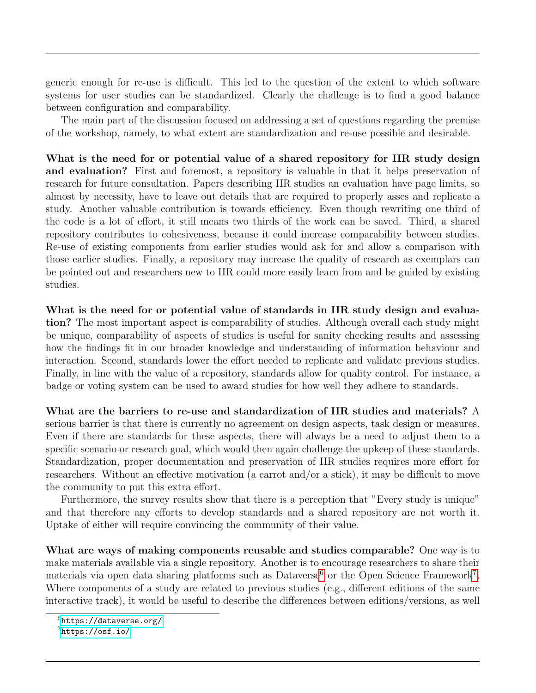generic enough for re-use is difficult. This led to the question of the extent to which software systems for user studies can be standardized. Clearly the challenge is to find a good balance between configuration and comparability.

The main part of the discussion focused on addressing a set of questions regarding the premise of the workshop, namely, to what extent are standardization and re-use possible and desirable.

What is the need for or potential value of a shared repository for IIR study design and evaluation? First and foremost, a repository is valuable in that it helps preservation of research for future consultation. Papers describing IIR studies an evaluation have page limits, so almost by necessity, have to leave out details that are required to properly asses and replicate a study. Another valuable contribution is towards efficiency. Even though rewriting one third of the code is a lot of effort, it still means two thirds of the work can be saved. Third, a shared repository contributes to cohesiveness, because it could increase comparability between studies. Re-use of existing components from earlier studies would ask for and allow a comparison with those earlier studies. Finally, a repository may increase the quality of research as exemplars can be pointed out and researchers new to IIR could more easily learn from and be guided by existing studies.

What is the need for or potential value of standards in IIR study design and evaluation? The most important aspect is comparability of studies. Although overall each study might be unique, comparability of aspects of studies is useful for sanity checking results and assessing how the findings fit in our broader knowledge and understanding of information behaviour and interaction. Second, standards lower the effort needed to replicate and validate previous studies. Finally, in line with the value of a repository, standards allow for quality control. For instance, a badge or voting system can be used to award studies for how well they adhere to standards.

What are the barriers to re-use and standardization of IIR studies and materials? A serious barrier is that there is currently no agreement on design aspects, task design or measures. Even if there are standards for these aspects, there will always be a need to adjust them to a specific scenario or research goal, which would then again challenge the upkeep of these standards. Standardization, proper documentation and preservation of IIR studies requires more effort for researchers. Without an effective motivation (a carrot and/or a stick), it may be difficult to move the community to put this extra effort.

Furthermore, the survey results show that there is a perception that "Every study is unique" and that therefore any efforts to develop standards and a shared repository are not worth it. Uptake of either will require convincing the community of their value.

What are ways of making components reusable and studies comparable? One way is to make materials available via a single repository. Another is to encourage researchers to share their materials via open data sharing platforms such as Dataverse<sup>[6](#page-5-0)</sup> or the Open Science Framework<sup>[7](#page-5-1)</sup>. Where components of a study are related to previous studies (e.g., different editions of the same interactive track), it would be useful to describe the differences between editions/versions, as well

<span id="page-5-0"></span> $6$ <https://dataverse.org/>

<span id="page-5-1"></span><sup>7</sup><https://osf.io/>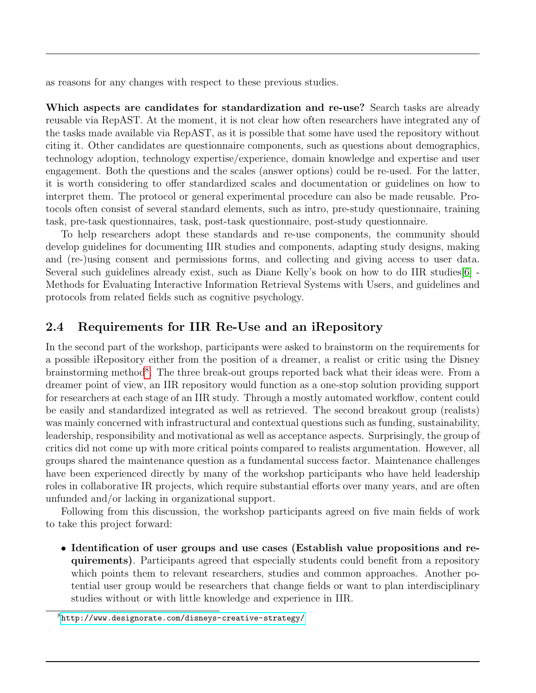as reasons for any changes with respect to these previous studies.

Which aspects are candidates for standardization and re-use? Search tasks are already reusable via RepAST. At the moment, it is not clear how often researchers have integrated any of the tasks made available via RepAST, as it is possible that some have used the repository without citing it. Other candidates are questionnaire components, such as questions about demographics, technology adoption, technology expertise/experience, domain knowledge and expertise and user engagement. Both the questions and the scales (answer options) could be re-used. For the latter, it is worth considering to offer standardized scales and documentation or guidelines on how to interpret them. The protocol or general experimental procedure can also be made reusable. Protocols often consist of several standard elements, such as intro, pre-study questionnaire, training task, pre-task questionnaires, task, post-task questionnaire, post-study questionnaire.

To help researchers adopt these standards and re-use components, the community should develop guidelines for documenting IIR studies and components, adapting study designs, making and (re-)using consent and permissions forms, and collecting and giving access to user data. Several such guidelines already exist, such as Diane Kelly's book on how to do IIR studies[\[6\]](#page-8-5) - Methods for Evaluating Interactive Information Retrieval Systems with Users, and guidelines and protocols from related fields such as cognitive psychology.

#### 2.4 Requirements for IIR Re-Use and an iRepository

In the second part of the workshop, participants were asked to brainstorm on the requirements for a possible iRepository either from the position of a dreamer, a realist or critic using the Disney brainstorming method<sup>[8](#page-6-0)</sup>. The three break-out groups reported back what their ideas were. From a dreamer point of view, an IIR repository would function as a one-stop solution providing support for researchers at each stage of an IIR study. Through a mostly automated workflow, content could be easily and standardized integrated as well as retrieved. The second breakout group (realists) was mainly concerned with infrastructural and contextual questions such as funding, sustainability, leadership, responsibility and motivational as well as acceptance aspects. Surprisingly, the group of critics did not come up with more critical points compared to realists argumentation. However, all groups shared the maintenance question as a fundamental success factor. Maintenance challenges have been experienced directly by many of the workshop participants who have held leadership roles in collaborative IR projects, which require substantial efforts over many years, and are often unfunded and/or lacking in organizational support.

Following from this discussion, the workshop participants agreed on five main fields of work to take this project forward:

• Identification of user groups and use cases (Establish value propositions and requirements). Participants agreed that especially students could benefit from a repository which points them to relevant researchers, studies and common approaches. Another potential user group would be researchers that change fields or want to plan interdisciplinary studies without or with little knowledge and experience in IIR.

<span id="page-6-0"></span><sup>8</sup><http://www.designorate.com/disneys-creative-strategy/>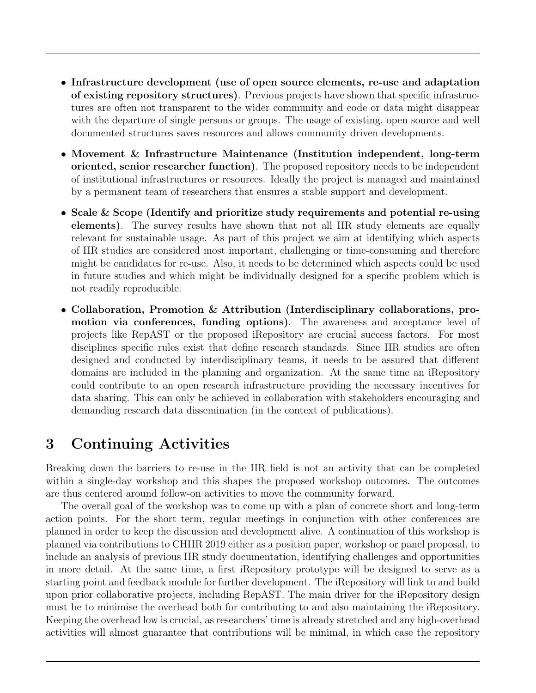- Infrastructure development (use of open source elements, re-use and adaptation of existing repository structures). Previous projects have shown that specific infrastructures are often not transparent to the wider community and code or data might disappear with the departure of single persons or groups. The usage of existing, open source and well documented structures saves resources and allows community driven developments.
- Movement & Infrastructure Maintenance (Institution independent, long-term oriented, senior researcher function). The proposed repository needs to be independent of institutional infrastructures or resources. Ideally the project is managed and maintained by a permanent team of researchers that ensures a stable support and development.
- Scale & Scope (Identify and prioritize study requirements and potential re-using elements). The survey results have shown that not all IIR study elements are equally relevant for sustainable usage. As part of this project we aim at identifying which aspects of IIR studies are considered most important, challenging or time-consuming and therefore might be candidates for re-use. Also, it needs to be determined which aspects could be used in future studies and which might be individually designed for a specific problem which is not readily reproducible.
- Collaboration, Promotion & Attribution (Interdisciplinary collaborations, promotion via conferences, funding options). The awareness and acceptance level of projects like RepAST or the proposed iRepository are crucial success factors. For most disciplines specific rules exist that define research standards. Since IIR studies are often designed and conducted by interdisciplinary teams, it needs to be assured that different domains are included in the planning and organization. At the same time an iRepository could contribute to an open research infrastructure providing the necessary incentives for data sharing. This can only be achieved in collaboration with stakeholders encouraging and demanding research data dissemination (in the context of publications).

## 3 Continuing Activities

Breaking down the barriers to re-use in the IIR field is not an activity that can be completed within a single-day workshop and this shapes the proposed workshop outcomes. The outcomes are thus centered around follow-on activities to move the community forward.

The overall goal of the workshop was to come up with a plan of concrete short and long-term action points. For the short term, regular meetings in conjunction with other conferences are planned in order to keep the discussion and development alive. A continuation of this workshop is planned via contributions to CHIIR 2019 either as a position paper, workshop or panel proposal, to include an analysis of previous IIR study documentation, identifying challenges and opportunities in more detail. At the same time, a first iRepository prototype will be designed to serve as a starting point and feedback module for further development. The iRepository will link to and build upon prior collaborative projects, including RepAST. The main driver for the iRepository design must be to minimise the overhead both for contributing to and also maintaining the iRepository. Keeping the overhead low is crucial, as researchers' time is already stretched and any high-overhead activities will almost guarantee that contributions will be minimal, in which case the repository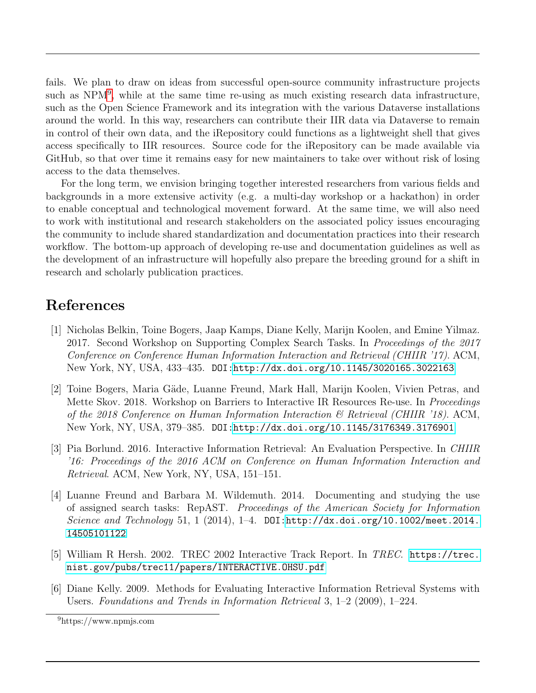fails. We plan to draw on ideas from successful open-source community infrastructure projects such as NPM<sup>[9](#page-8-6)</sup>, while at the same time re-using as much existing research data infrastructure, such as the Open Science Framework and its integration with the various Dataverse installations around the world. In this way, researchers can contribute their IIR data via Dataverse to remain in control of their own data, and the iRepository could functions as a lightweight shell that gives access specifically to IIR resources. Source code for the iRepository can be made available via GitHub, so that over time it remains easy for new maintainers to take over without risk of losing access to the data themselves.

For the long term, we envision bringing together interested researchers from various fields and backgrounds in a more extensive activity (e.g. a multi-day workshop or a hackathon) in order to enable conceptual and technological movement forward. At the same time, we will also need to work with institutional and research stakeholders on the associated policy issues encouraging the community to include shared standardization and documentation practices into their research workflow. The bottom-up approach of developing re-use and documentation guidelines as well as the development of an infrastructure will hopefully also prepare the breeding ground for a shift in research and scholarly publication practices.

### References

- <span id="page-8-4"></span>[1] Nicholas Belkin, Toine Bogers, Jaap Kamps, Diane Kelly, Marijn Koolen, and Emine Yilmaz. 2017. Second Workshop on Supporting Complex Search Tasks. In Proceedings of the 2017 Conference on Conference Human Information Interaction and Retrieval (CHIIR '17). ACM, New York, NY, USA, 433–435. DOI[:http://dx.doi.org/10.1145/3020165.3022163](http://dx.doi.org/10.1145/3020165.3022163)
- <span id="page-8-0"></span>[2] Toine Bogers, Maria Gäde, Luanne Freund, Mark Hall, Marijn Koolen, Vivien Petras, and Mette Skov. 2018. Workshop on Barriers to Interactive IR Resources Re-use. In Proceedings of the 2018 Conference on Human Information Interaction  $\mathcal B$  Retrieval (CHIIR '18). ACM, New York, NY, USA, 379–385. DOI[:http://dx.doi.org/10.1145/3176349.3176901](http://dx.doi.org/10.1145/3176349.3176901)
- <span id="page-8-1"></span>[3] Pia Borlund. 2016. Interactive Information Retrieval: An Evaluation Perspective. In CHIIR '16: Proceedings of the 2016 ACM on Conference on Human Information Interaction and Retrieval. ACM, New York, NY, USA, 151–151.
- <span id="page-8-3"></span>[4] Luanne Freund and Barbara M. Wildemuth. 2014. Documenting and studying the use of assigned search tasks: RepAST. Proceedings of the American Society for Information Science and Technology 51, 1 (2014), 1-4. DOI[:http://dx.doi.org/10.1002/meet.2014.](http://dx.doi.org/10.1002/meet.2014.14505101122) [14505101122](http://dx.doi.org/10.1002/meet.2014.14505101122)
- <span id="page-8-2"></span>[5] William R Hersh. 2002. TREC 2002 Interactive Track Report. In TREC. [https://trec.](https://trec.nist.gov/pubs/trec11/papers/INTERACTIVE.OHSU.pdf) [nist.gov/pubs/trec11/papers/INTERACTIVE.OHSU.pdf](https://trec.nist.gov/pubs/trec11/papers/INTERACTIVE.OHSU.pdf)
- <span id="page-8-5"></span>[6] Diane Kelly. 2009. Methods for Evaluating Interactive Information Retrieval Systems with Users. Foundations and Trends in Information Retrieval 3, 1–2 (2009), 1–224.

<span id="page-8-6"></span><sup>9</sup>https://www.npmjs.com